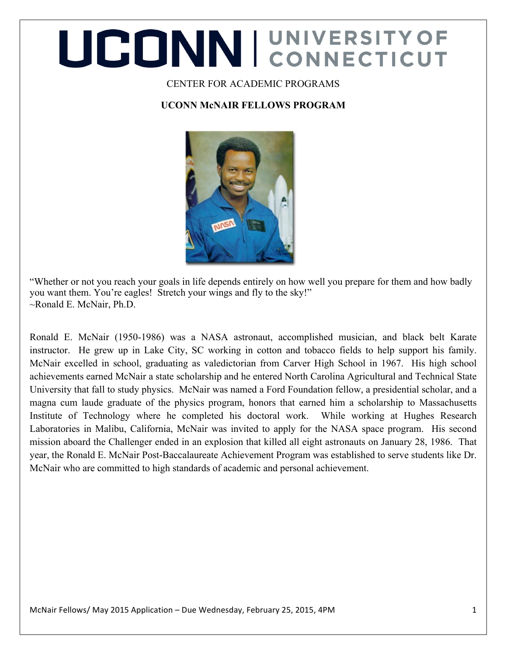# UCONNI CONNECTICUT

#### CENTER FOR ACADEMIC PROGRAMS

#### **UCONN McNAIR FELLOWS PROGRAM**



"Whether or not you reach your goals in life depends entirely on how well you prepare for them and how badly you want them. You're eagles! Stretch your wings and fly to the sky!" ~Ronald E. McNair, Ph.D.

Ronald E. McNair (1950-1986) was a NASA astronaut, accomplished musician, and black belt Karate instructor. He grew up in Lake City, SC working in cotton and tobacco fields to help support his family. McNair excelled in school, graduating as valedictorian from Carver High School in 1967. His high school achievements earned McNair a state scholarship and he entered North Carolina Agricultural and Technical State University that fall to study physics. McNair was named a Ford Foundation fellow, a presidential scholar, and a magna cum laude graduate of the physics program, honors that earned him a scholarship to Massachusetts Institute of Technology where he completed his doctoral work. While working at Hughes Research Laboratories in Malibu, California, McNair was invited to apply for the NASA space program. His second mission aboard the Challenger ended in an explosion that killed all eight astronauts on January 28, 1986. That year, the Ronald E. McNair Post-Baccalaureate Achievement Program was established to serve students like Dr. McNair who are committed to high standards of academic and personal achievement.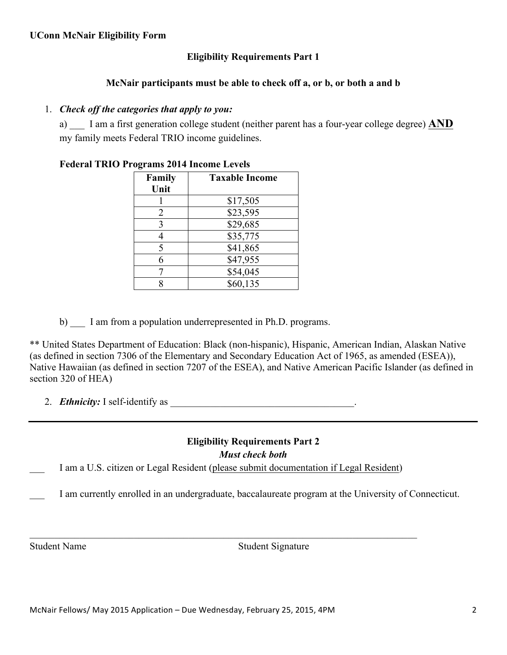#### **Eligibility Requirements Part 1**

#### **McNair participants must be able to check off a, or b, or both a and b**

#### 1. *Check off the categories that apply to you:*

a) \_\_\_ I am a first generation college student (neither parent has a four-year college degree) **AND** my family meets Federal TRIO income guidelines.

| Family<br>Unit | <b>Taxable Income</b> |
|----------------|-----------------------|
|                | \$17,505              |
| 2              | \$23,595              |
| 3              | \$29,685              |
|                | \$35,775              |
| 5              | \$41,865              |
| 6              | \$47,955              |
|                | \$54,045              |
|                | \$60,135              |

#### **Federal TRIO Programs 2014 Income Levels**

b) I am from a population underrepresented in Ph.D. programs.

\*\* United States Department of Education: Black (non-hispanic), Hispanic, American Indian, Alaskan Native (as defined in section 7306 of the Elementary and Secondary Education Act of 1965, as amended (ESEA)), Native Hawaiian (as defined in section 7207 of the ESEA), and Native American Pacific Islander (as defined in section 320 of HEA)

2. *Ethnicity:* I self-identify as \_\_\_\_\_\_\_\_\_\_\_\_\_\_\_\_\_\_\_\_\_\_\_\_\_\_\_\_\_\_\_\_\_\_\_\_\_.

#### **Eligibility Requirements Part 2** *Must check both*

I am a U.S. citizen or Legal Resident (please submit documentation if Legal Resident)

 $\mathcal{L}_\mathcal{L} = \{ \mathcal{L}_\mathcal{L} = \{ \mathcal{L}_\mathcal{L} = \{ \mathcal{L}_\mathcal{L} = \{ \mathcal{L}_\mathcal{L} = \{ \mathcal{L}_\mathcal{L} = \{ \mathcal{L}_\mathcal{L} = \{ \mathcal{L}_\mathcal{L} = \{ \mathcal{L}_\mathcal{L} = \{ \mathcal{L}_\mathcal{L} = \{ \mathcal{L}_\mathcal{L} = \{ \mathcal{L}_\mathcal{L} = \{ \mathcal{L}_\mathcal{L} = \{ \mathcal{L}_\mathcal{L} = \{ \mathcal{L}_\mathcal{$ 

\_\_\_ I am currently enrolled in an undergraduate, baccalaureate program at the University of Connecticut.

Student Name Student Signature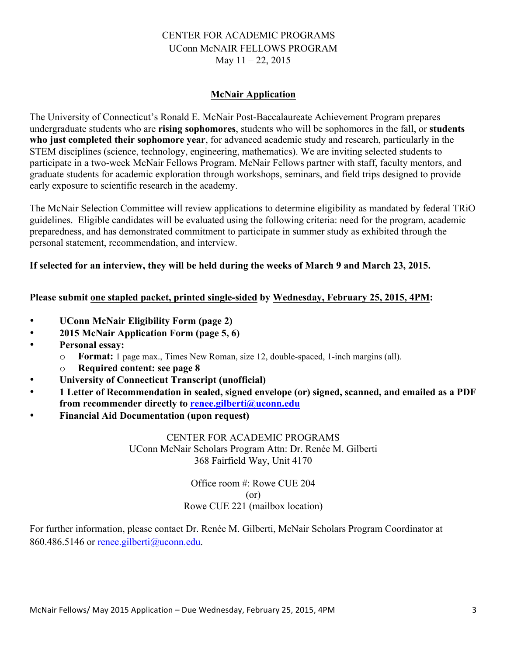#### CENTER FOR ACADEMIC PROGRAMS UConn McNAIR FELLOWS PROGRAM May 11 – 22, 2015

#### **McNair Application**

The University of Connecticut's Ronald E. McNair Post-Baccalaureate Achievement Program prepares undergraduate students who are **rising sophomores**, students who will be sophomores in the fall, or **students who just completed their sophomore year**, for advanced academic study and research, particularly in the STEM disciplines (science, technology, engineering, mathematics). We are inviting selected students to participate in a two-week McNair Fellows Program. McNair Fellows partner with staff, faculty mentors, and graduate students for academic exploration through workshops, seminars, and field trips designed to provide early exposure to scientific research in the academy.

The McNair Selection Committee will review applications to determine eligibility as mandated by federal TRiO guidelines. Eligible candidates will be evaluated using the following criteria: need for the program, academic preparedness, and has demonstrated commitment to participate in summer study as exhibited through the personal statement, recommendation, and interview.

#### **If selected for an interview, they will be held during the weeks of March 9 and March 23, 2015.**

#### **Please submit one stapled packet, printed single-sided by Wednesday, February 25, 2015, 4PM:**

- **UConn McNair Eligibility Form (page 2)**
- **2015 McNair Application Form (page 5, 6)**
- **Personal essay:** 
	- o **Format:** 1 page max., Times New Roman, size 12, double-spaced, 1-inch margins (all).
	- o **Required content: see page 8**
- **University of Connecticut Transcript (unofficial)**
- **1 Letter of Recommendation in sealed, signed envelope (or) signed, scanned, and emailed as a PDF from recommender directly to renee.gilberti@uconn.edu**
- **Financial Aid Documentation (upon request)**

CENTER FOR ACADEMIC PROGRAMS UConn McNair Scholars Program Attn: Dr. Renée M. Gilberti 368 Fairfield Way, Unit 4170

> Office room #: Rowe CUE 204 (or) Rowe CUE 221 (mailbox location)

For further information, please contact Dr. Renée M. Gilberti, McNair Scholars Program Coordinator at 860.486.5146 or renee.gilberti@uconn.edu.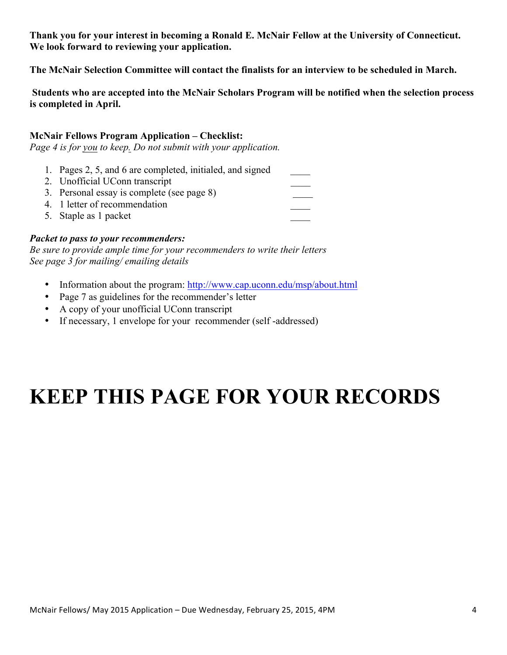**Thank you for your interest in becoming a Ronald E. McNair Fellow at the University of Connecticut. We look forward to reviewing your application.** 

**The McNair Selection Committee will contact the finalists for an interview to be scheduled in March.**

**Students who are accepted into the McNair Scholars Program will be notified when the selection process is completed in April.** 

#### **McNair Fellows Program Application – Checklist:**

*Page 4 is for you to keep. Do not submit with your application.* 

- 1. Pages 2, 5, and 6 are completed, initialed, and signed \_\_\_\_
- 2. Unofficial UConn transcript
- 3. Personal essay is complete (see page 8) \_\_\_\_
- 4. 1 letter of recommendation
- 5. Staple as 1 packet

#### *Packet to pass to your recommenders:*

*Be sure to provide ample time for your recommenders to write their letters See page 3 for mailing/ emailing details*

- Information about the program: http://www.cap.uconn.edu/msp/about.html
- Page 7 as guidelines for the recommender's letter
- A copy of your unofficial UConn transcript
- If necessary, 1 envelope for your recommender (self-addressed)

### **KEEP THIS PAGE FOR YOUR RECORDS**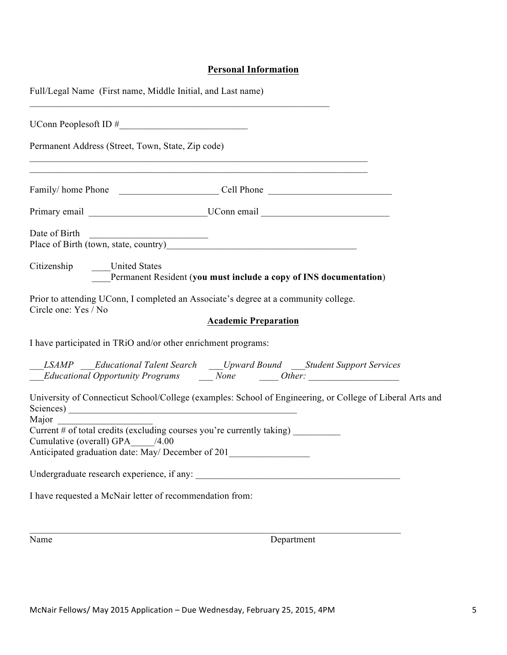#### **Personal Information**

| Full/Legal Name (First name, Middle Initial, and Last name)                                                                                                       |                                                                                                                                                                                 |
|-------------------------------------------------------------------------------------------------------------------------------------------------------------------|---------------------------------------------------------------------------------------------------------------------------------------------------------------------------------|
| UConn Peoplesoft ID $\#$                                                                                                                                          |                                                                                                                                                                                 |
| Permanent Address (Street, Town, State, Zip code)                                                                                                                 |                                                                                                                                                                                 |
|                                                                                                                                                                   | ,我们也不能在这里的时候,我们也不能在这里的时候,我们也不能会在这里的时候,我们也不能会在这里的时候,我们也不能会在这里的时候,我们也不能会在这里的时候,我们也不                                                                                               |
|                                                                                                                                                                   | Primary email _____________________________UConn email _________________________                                                                                                |
| Date of Birth<br><u> Alexandria de la conte</u><br>Place of Birth (town, state, country) Manual Manual Manual Manual Manual Manual Manual Manual Manual Manual Ma |                                                                                                                                                                                 |
| Citizenship United States                                                                                                                                         | Permanent Resident (you must include a copy of INS documentation)                                                                                                               |
| Prior to attending UConn, I completed an Associate's degree at a community college.<br>Circle one: Yes / No                                                       |                                                                                                                                                                                 |
| I have participated in TRiO and/or other enrichment programs:                                                                                                     | <b>Academic Preparation</b>                                                                                                                                                     |
|                                                                                                                                                                   |                                                                                                                                                                                 |
|                                                                                                                                                                   | ___LSAMP ____Educational Talent Search _____Upward Bound ____Student Support Services<br><i>Educational Opportunity Programs</i> _____None _______Other: ______________________ |
|                                                                                                                                                                   | University of Connecticut School/College (examples: School of Engineering, or College of Liberal Arts and                                                                       |
| Major                                                                                                                                                             |                                                                                                                                                                                 |
| Current $#$ of total credits (excluding courses you're currently taking)<br>Cumulative (overall) GPA /4.00                                                        |                                                                                                                                                                                 |
| Anticipated graduation date: May/ December of 201                                                                                                                 |                                                                                                                                                                                 |
|                                                                                                                                                                   |                                                                                                                                                                                 |
| I have requested a McNair letter of recommendation from:                                                                                                          |                                                                                                                                                                                 |
|                                                                                                                                                                   |                                                                                                                                                                                 |

Name Department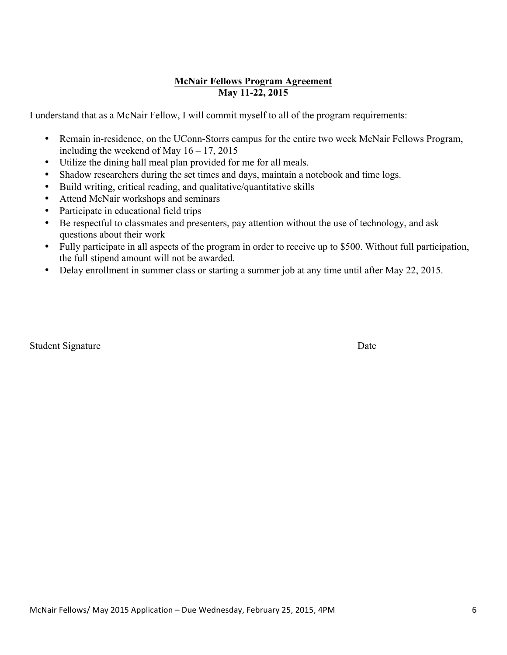#### **McNair Fellows Program Agreement May 11-22, 2015**

I understand that as a McNair Fellow, I will commit myself to all of the program requirements:

- Remain in-residence, on the UConn-Storrs campus for the entire two week McNair Fellows Program, including the weekend of May  $16 - 17$ , 2015
- Utilize the dining hall meal plan provided for me for all meals.
- Shadow researchers during the set times and days, maintain a notebook and time logs.

 $\mathcal{L}_\mathcal{L} = \{ \mathcal{L}_\mathcal{L} = \{ \mathcal{L}_\mathcal{L} = \{ \mathcal{L}_\mathcal{L} = \{ \mathcal{L}_\mathcal{L} = \{ \mathcal{L}_\mathcal{L} = \{ \mathcal{L}_\mathcal{L} = \{ \mathcal{L}_\mathcal{L} = \{ \mathcal{L}_\mathcal{L} = \{ \mathcal{L}_\mathcal{L} = \{ \mathcal{L}_\mathcal{L} = \{ \mathcal{L}_\mathcal{L} = \{ \mathcal{L}_\mathcal{L} = \{ \mathcal{L}_\mathcal{L} = \{ \mathcal{L}_\mathcal{$ 

- Build writing, critical reading, and qualitative/quantitative skills
- Attend McNair workshops and seminars
- Participate in educational field trips
- Be respectful to classmates and presenters, pay attention without the use of technology, and ask questions about their work
- Fully participate in all aspects of the program in order to receive up to \$500. Without full participation, the full stipend amount will not be awarded.
- Delay enrollment in summer class or starting a summer job at any time until after May 22, 2015.

Student Signature Date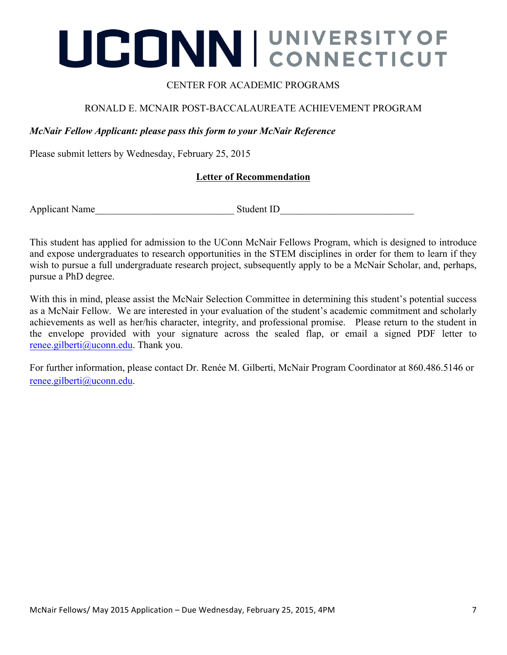## UCONNI CONNECTICUT

#### CENTER FOR ACADEMIC PROGRAMS

#### RONALD E. MCNAIR POST-BACCALAUREATE ACHIEVEMENT PROGRAM

#### *McNair Fellow Applicant: please pass this form to your McNair Reference*

Please submit letters by Wednesday, February 25, 2015

#### **Letter of Recommendation**

Applicant Name\_\_\_\_\_\_\_\_\_\_\_\_\_\_\_\_\_\_\_\_\_\_\_\_\_\_\_\_ Student ID\_\_\_\_\_\_\_\_\_\_\_\_\_\_\_\_\_\_\_\_\_\_\_\_\_\_\_

This student has applied for admission to the UConn McNair Fellows Program, which is designed to introduce and expose undergraduates to research opportunities in the STEM disciplines in order for them to learn if they wish to pursue a full undergraduate research project, subsequently apply to be a McNair Scholar, and, perhaps, pursue a PhD degree.

With this in mind, please assist the McNair Selection Committee in determining this student's potential success as a McNair Fellow. We are interested in your evaluation of the student's academic commitment and scholarly achievements as well as her/his character, integrity, and professional promise. Please return to the student in the envelope provided with your signature across the sealed flap, or email a signed PDF letter to renee.gilberti@uconn.edu. Thank you.

For further information, please contact Dr. Renée M. Gilberti, McNair Program Coordinator at 860.486.5146 or renee.gilberti@uconn.edu.